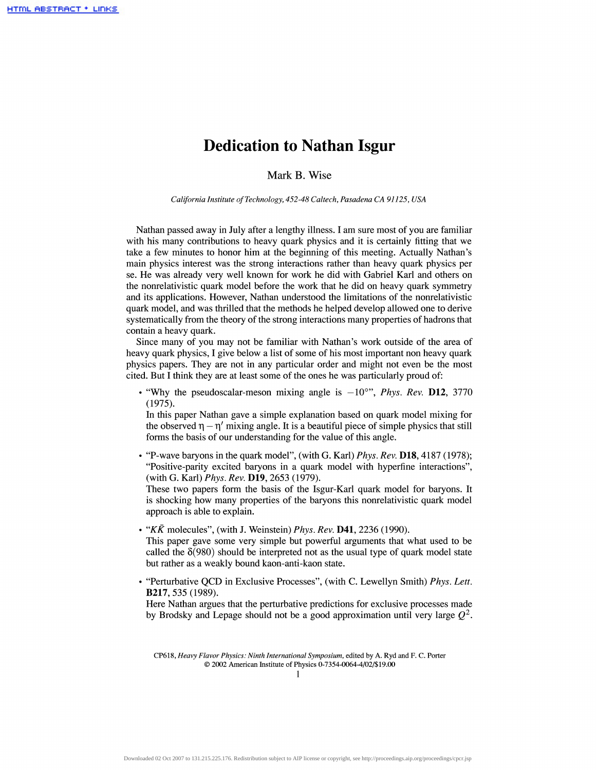## **Dedication to Nathan Isgur**

Mark B. Wise

*California Institute of Technology, 452-48 Caltech, Pasadena CA 91125, USA*

Nathan passed away in July after a lengthy illness. I am sure most of you are familiar with his many contributions to heavy quark physics and it is certainly fitting that we take a few minutes to honor him at the beginning of this meeting. Actually Nathan's main physics interest was the strong interactions rather than heavy quark physics per se. He was already very well known for work he did with Gabriel Karl and others on the nonrelativistic quark model before the work that he did on heavy quark symmetry and its applications. However, Nathan understood the limitations of the nonrelativistic quark model, and was thrilled that the methods he helped develop allowed one to derive systematically from the theory of the strong interactions many properties of hadrons that contain a heavy quark.

Since many of you may not be familiar with Nathan's work outside of the area of heavy quark physics, I give below a list of some of his most important non heavy quark physics papers. They are not in any particular order and might not even be the most cited. But I think they are at least some of the ones he was particularly proud of:

• "Why the pseudoscalar-meson mixing angle is  $-10^{\circ}$ ", *Phys. Rev.* **D12**, 3770 (1975).

In this paper Nathan gave a simple explanation based on quark model mixing for the observed  $\eta - \eta'$  mixing angle. It is a beautiful piece of simple physics that still forms the basis of our understanding for the value of this angle.

• "P-wave baryons in the quark model", (with G. Karl) *Phys. Rev.* D18,4187 (1978); "Positive-parity excited baryons in a quark model with hyperfine interactions", (with G. Karl) *Phys. Rev.* D19, 2653 (1979).

These two papers form the basis of the Isgur-Karl quark model for baryons. It is shocking how many properties of the baryons this nonrelativistic quark model approach is able to explain.

- • *"KK* molecules", (with J. Weinstein) *Phys. Rev.* D41, 2236 (1990). This paper gave some very simple but powerful arguments that what used to be called the  $\delta(980)$  should be interpreted not as the usual type of quark model state but rather as a weakly bound kaon-anti-kaon state.
- "Perturbative QCD in Exclusive Processes", (with C. Lewellyn Smith) *Phys. Lett.* **B217,** 535 (1989).

Here Nathan argues that the perturbative predictions for exclusive processes made by Brodsky and Lepage should not be a good approximation until very large *Q<sup>2</sup> .*

CP618, *Heavy Flavor Physics: Ninth International Symposium,* edited by A. Ryd and F. C. Porter © 2002 American Institute of Physics 0-7354-0064-4/02/\$ 19.00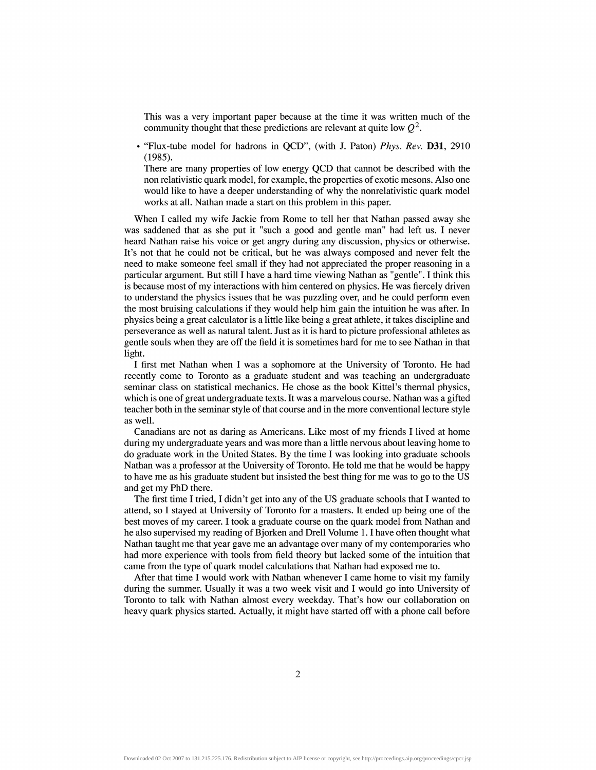This was a very important paper because at the time it was written much of the community thought that these predictions are relevant at quite low *Q<sup>2</sup> .*

• "Flux-tube model for hadrons in QCD", (with J. Paton) *Phys. Rev.* D31, 2910 (1985).

There are many properties of low energy QCD that cannot be described with the non relativistic quark model, for example, the properties of exotic mesons. Also one would like to have a deeper understanding of why the nonrelativistic quark model works at all. Nathan made a start on this problem in this paper.

When I called my wife Jackie from Rome to tell her that Nathan passed away she was saddened that as she put it "such a good and gentle man" had left us. I never heard Nathan raise his voice or get angry during any discussion, physics or otherwise. It's not that he could not be critical, but he was always composed and never felt the need to make someone feel small if they had not appreciated the proper reasoning in a particular argument. But still I have a hard time viewing Nathan as "gentle". I think this is because most of my interactions with him centered on physics. He was fiercely driven to understand the physics issues that he was puzzling over, and he could perform even the most bruising calculations if they would help him gain the intuition he was after. In physics being a great calculator is a little like being a great athlete, it takes discipline and perseverance as well as natural talent. Just as it is hard to picture professional athletes as gentle souls when they are off the field it is sometimes hard for me to see Nathan in that light.

I first met Nathan when I was a sophomore at the University of Toronto. He had recently come to Toronto as a graduate student and was teaching an undergraduate seminar class on statistical mechanics. He chose as the book Kittel's thermal physics, which is one of great undergraduate texts. It was a marvelous course. Nathan was a gifted teacher both in the seminar style of that course and in the more conventional lecture style as well.

Canadians are not as daring as Americans. Like most of my friends I lived at home during my undergraduate years and was more than a little nervous about leaving home to do graduate work in the United States. By the time I was looking into graduate schools Nathan was a professor at the University of Toronto. He told me that he would be happy to have me as his graduate student but insisted the best thing for me was to go to the US and get my PhD there.

The first time I tried, I didn't get into any of the US graduate schools that I wanted to attend, so I stayed at University of Toronto for a masters. It ended up being one of the best moves of my career. I took a graduate course on the quark model from Nathan and he also supervised my reading of Bjorken and Drell Volume 1.1 have often thought what Nathan taught me that year gave me an advantage over many of my contemporaries who had more experience with tools from field theory but lacked some of the intuition that came from the type of quark model calculations that Nathan had exposed me to.

After that time I would work with Nathan whenever I came home to visit my family during the summer. Usually it was a two week visit and I would go into University of Toronto to talk with Nathan almost every weekday. That's how our collaboration on heavy quark physics started. Actually, it might have started off with a phone call before